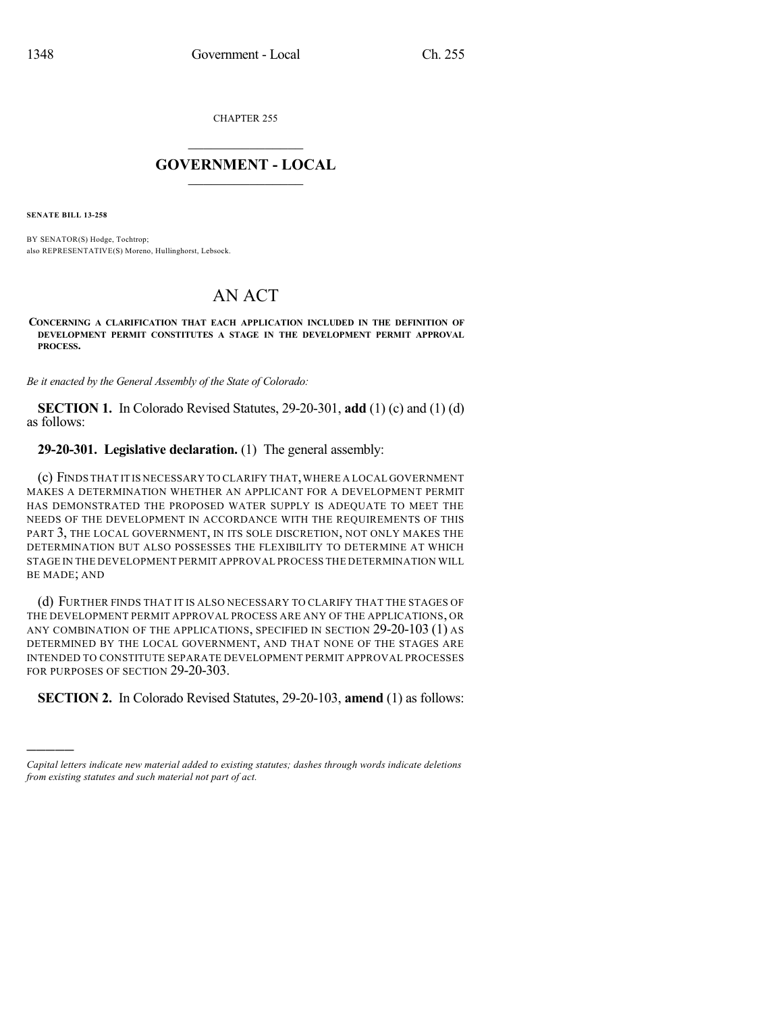CHAPTER 255

## $\mathcal{L}_\text{max}$  . The set of the set of the set of the set of the set of the set of the set of the set of the set of the set of the set of the set of the set of the set of the set of the set of the set of the set of the set **GOVERNMENT - LOCAL**  $\_$

**SENATE BILL 13-258**

)))))

BY SENATOR(S) Hodge, Tochtrop; also REPRESENTATIVE(S) Moreno, Hullinghorst, Lebsock.

## AN ACT

**CONCERNING A CLARIFICATION THAT EACH APPLICATION INCLUDED IN THE DEFINITION OF DEVELOPMENT PERMIT CONSTITUTES A STAGE IN THE DEVELOPMENT PERMIT APPROVAL PROCESS.**

*Be it enacted by the General Assembly of the State of Colorado:*

**SECTION 1.** In Colorado Revised Statutes, 29-20-301, **add** (1) (c) and (1) (d) as follows:

**29-20-301. Legislative declaration.** (1) The general assembly:

(c) FINDS THAT IT IS NECESSARY TO CLARIFY THAT,WHERE A LOCAL GOVERNMENT MAKES A DETERMINATION WHETHER AN APPLICANT FOR A DEVELOPMENT PERMIT HAS DEMONSTRATED THE PROPOSED WATER SUPPLY IS ADEQUATE TO MEET THE NEEDS OF THE DEVELOPMENT IN ACCORDANCE WITH THE REQUIREMENTS OF THIS PART 3, THE LOCAL GOVERNMENT, IN ITS SOLE DISCRETION, NOT ONLY MAKES THE DETERMINATION BUT ALSO POSSESSES THE FLEXIBILITY TO DETERMINE AT WHICH STAGE IN THE DEVELOPMENT PERMIT APPROVAL PROCESS THE DETERMINATION WILL BE MADE; AND

(d) FURTHER FINDS THAT IT IS ALSO NECESSARY TO CLARIFY THAT THE STAGES OF THE DEVELOPMENT PERMIT APPROVAL PROCESS ARE ANY OF THE APPLICATIONS, OR ANY COMBINATION OF THE APPLICATIONS, SPECIFIED IN SECTION 29-20-103 (1) AS DETERMINED BY THE LOCAL GOVERNMENT, AND THAT NONE OF THE STAGES ARE INTENDED TO CONSTITUTE SEPARATE DEVELOPMENT PERMIT APPROVAL PROCESSES FOR PURPOSES OF SECTION 29-20-303.

**SECTION 2.** In Colorado Revised Statutes, 29-20-103, **amend** (1) as follows:

*Capital letters indicate new material added to existing statutes; dashes through words indicate deletions from existing statutes and such material not part of act.*